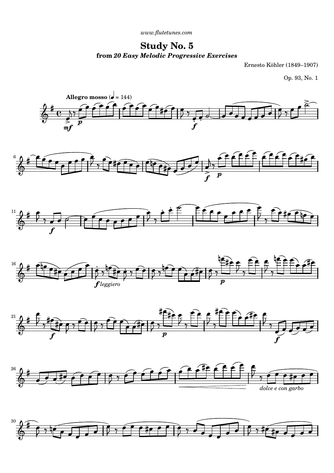*[www.flutetunes.com](http://www.flutetunes.com)* 

## **Study No. 5 from** *20 Easy Melodic Progressive Exercises*

Ernesto Köhler (1849–1907)

Op. 93, No. 1